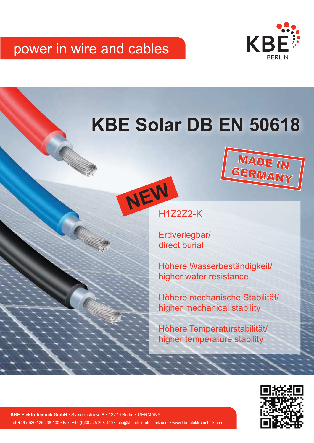## power in wire and cables



**MADE IN**<br>GERMANY

# **KBE Solar DB EN 50618**



Erdverlegbar/ direct burial

Höhere Wasserbeständigkeit/ higher water resistance

Höhere mechanische Stabilität/ higher mechanical stability

Höhere Temperaturstabilität/ higher temperature stability



KBE Elektrotechnik GmbH · Symeonstraße 8 · 12279 Berlin · GERMANY Tel: +49 (0)30 / 25 208-100 • Fax: +49 (0)30 / 25 208-140 • info@kbe-elektrotechnik.com • www.kbe-elektrotechnik.com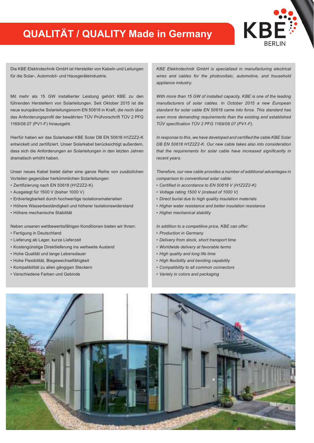## **QUALITÄT / QUALITY Made in Germany**



Die KBE Elektrotechnik GmbH ist Hersteller von Kabeln und Leitungen für die Solar-, Automobil- und Hausgeräteindustrie.

Mit mehr als 15 GW installierter Leistung gehört KBE zu den führenden Herstellern von Solarleitungen. Seit Oktober 2015 ist die neue europäische Solarleitungsnorm EN 50618 in Kraft, die noch über das Anforderungsprofil der bewährten TÜV Prüfvorschrift TÜV 2 PFG 1169/08.07 (PV1-F) hinausgeht.

Hierfür haben wir das Solarkabel KBE Solar DB EN 50618 H1Z2Z2-K entwickelt und zertifiziert. Unser Solarkabel berücksichtigt außerdem, dass sich die Anforderungen an Solarleitungen in den letzten Jahren dramatisch erhöht haben.

Unser neues Kabel bietet daher eine ganze Reihe von zusätzlichen Vorteilen gegenüber herkömmlichen Solarleitungen:

- Zertifizierung nach EN 50618 (H1Z2Z2-K)
- Ausgelegt für 1500 V (bisher 1000 V)
- Erdverlegbarkeit durch hochwertige Isolationsmaterialien
- Höhere Wasserbeständigkeit und höherer Isolationswiderstand
- Höhere mechanische Stabilität

Neben unseren wettbewerbsfähigen Konditionen bieten wir Ihnen:

- Fertigung in Deutschland
- Lieferung ab Lager, kurze Lieferzeit
- Kostengünstige Direktlieferung ins weltweite Ausland
- Hohe Qualität und lange Lebensdauer
- Hohe Flexibilität, Biegewechselfähigkeit
- Kompatibilität zu allen gängigen Steckern
- Verschiedene Farben und Gebinde

*KBE Elektrotechnik GmbH is specialized in manufacturing electrical wires and cables for the photovoltaic, automotive, and household appliance industry.*

*With more than 15 GW of installed capacity, KBE is one of the leading manufacturers of solar cables. In October 2015 a new European standard for solar cable EN 50618 came into force. This standard has even more demanding requirements than the existing and established TÜV specification TÜV 2 PFG 1169/08.07 (PV1-F).*

*In response to this, we have developed and certified the cable KBE Solar DB EN 50618 H1Z2Z2-K. Our new cable takes also into consideration that the requirements for solar cable have increased significantly in recent years.* 

*Therefore, our new cable provides a number of additional advantages in comparison to conventional solar cable:* 

- *• Certified in accordance to EN 50618 V (H1Z2Z2-K)*
- *• Voltage rating 1500 V (instead of 1000 V)*
- *• Direct burial due to high quality insulation materials*
- *• Higher water resistance and better insulation resistance*
- *• Higher mechanical stability*

*In addition to a competitive price, KBE can offer:*

- *• Production in Germany*
- *• Delivery from stock, short transport time*
- *• Worldwide delivery at favorable terms*
- *• High quality and long life time*
- *• High flexibility and bending capability*
- *• Compatibility to all common connectors*
- *• Variety in colors and packaging*

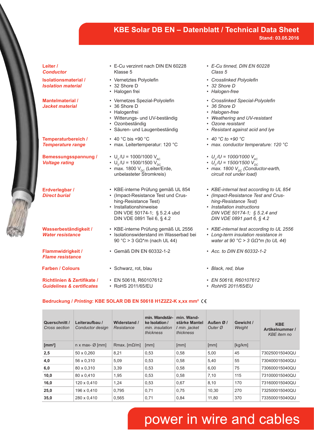### **KBE Solar DB EN – Datenblatt / Technical Data Sheet Stand: 03.05.2016**

| Leiter /<br><b>Conductor</b>                             |
|----------------------------------------------------------|
| <b>Isolationsmaterial /</b><br><b>Isolation material</b> |
| <b>Mantelmaterial /</b><br><b>Jacket material</b>        |
| Temperaturbereich /                                      |
| <b>Temperature range</b>                                 |
| Bemessungsspannung /<br><b>Voltage rating</b>            |
| Erdverlegbar /<br><b>Direct burial</b>                   |
| Wasserbeständigkeit /<br><b>Water resistance</b>         |

**Flammwidrigkeit /** *Flame resistance*

**Farben / Colours**

**Richtlinien & Zertifikate /** *Guidelines & certificates*

• Halogen frei • Vernetzes Spezial-Polyolefin • 36 Shore D • Halogenfrei

• Vernetztes Polyolefin

• Witterungs- und UV-beständig

• E-Cu verzinnt nach DIN EN 60228

• Ozonbeständig

Klasse 5

• 32 Shore D

- Säuren- und Laugenbeständig
- 40 °C bis +90 °C • max. Leitertemperatur: 120 °C

•  $U_0 / U = 1000/1000 V_{AC}$ 

- $U_0 / U = 1500/1500 V_{DC}$ • max. 1800  $\mathsf{V}_{_{\mathrm{DC}}}$  (Leiter/Erde, unbelasteter Stromkreis)
- KBE-interne Prüfung gemäß UL 854 • (Impact-Resistance Test und Crushing-Resistance Test)
- Installationshinweise DIN VDE 50174-1; § 5.2.4 ubd DIN VDE 0891 Teil 6, § 4.2
- KBE-interne Prüfung gemäß UL 2556 • Isolationswiderstand im Wasserbad bei 90 °C > 3 GΩ\*m (nach UL 44)
- 
- - EN 50618, R60107612 • RoHS 2011/65/EU
- *• E-Cu tinned, DIN EN 60228 Class 5*
- *• Crosslinked Polyolefin*
- *• 32 Shore D*
- *• Halogen-free*
- *• Crosslinked Special-Polyolefin*
- *• 36 Shore D*
- *• Halogen-free*
- *• Weathering and UV-resistant*
- *• Ozone resistant*
- *• Resistant against acid and lye*
- *• 40 °C to +90 °C*
- *• max. conductor temperature: 120 °C*
- $U_a/U = 1000/1000 V_{AC}$
- $U_0 / U = 1500/1500 V_{DC}$
- max. 1800 V<sub>pc</sub> (Conductor-earth, *circuit not under load)*
- *• KBE-internal test according to UL 854*
- *• (Impact-Resistance Test and Crushing-Resistance Test)*
- *• Installation instructions DIN VDE 50174-1; § 5.2.4 and DIN VDE 0891 part 6, § 4.2*
- *• KBE-internal test according to UL 2556*
- *• Long-term insulation resistance in water at 90 °C > 3 GΩ\*m (to UL 44)*
- Gemäß DIN EN 60332-1-2 *• Acc. to DIN EN 60332-1-2*
- Schwarz, rot, blau *• Black, red, blue*
	- *• EN 50618, R60107612*
	- *• RohHS 2011/65/EU*

#### **Bedruckung /** *Printing***: KBE SOLAR DB EN 50618 H1Z2Z2-K x,xx mm²**

| Querschnitt /<br>Cross section | Leiteraufbau /<br>Conductor design | Widerstand /<br>Resistance | min. Wandstär-<br>ke Isolation /<br>min. insulation<br>thickness | min. Wand-<br>stärke Mantel<br>I min. jacket<br>thickness | Außen Ø/<br>Outer Ø | Gewicht /<br>Weight | <b>KBE</b><br>Artikelnummer /<br><b>KBE</b> item no |
|--------------------------------|------------------------------------|----------------------------|------------------------------------------------------------------|-----------------------------------------------------------|---------------------|---------------------|-----------------------------------------------------|
| [ $mm2$ ]                      | n x max- $\varnothing$ [mm]        | Rmax. $[m\Omega/m]$        | [mm]                                                             | [mm]                                                      | [mm]                | [kg/km]             |                                                     |
| 2,5                            | 50 x 0,260                         | 8,21                       | 0,53                                                             | 0,58                                                      | 5,00                | 45                  | 730250015040QU                                      |
| 4,0                            | 56 x 0,310                         | 5,09                       | 0,53                                                             | 0,58                                                      | 5,40                | 55                  | 730400015040QU                                      |
| 6,0                            | 80 x 0.310                         | 3,39                       | 0.53                                                             | 0,58                                                      | 6,00                | 75                  | 730600015040QU                                      |
| 10,0                           | 80 x 0.410                         | 1.95                       | 0.53                                                             | 0.58                                                      | 7,10                | 115                 | 731000015040QU                                      |
| 16,0                           | 120 x 0,410                        | 1.24                       | 0,53                                                             | 0,67                                                      | 8,10                | 170                 | 731600015040QU                                      |
| 25,0                           | 196 x 0,410                        | 0,795                      | 0.71                                                             | 0,75                                                      | 10,30               | 270                 | 732500015040QU                                      |
| 35,0                           | 280 x 0,410                        | 0,565                      | 0,71                                                             | 0,84                                                      | 11,80               | 370                 | 733500015040QU                                      |

## power in wire and cables